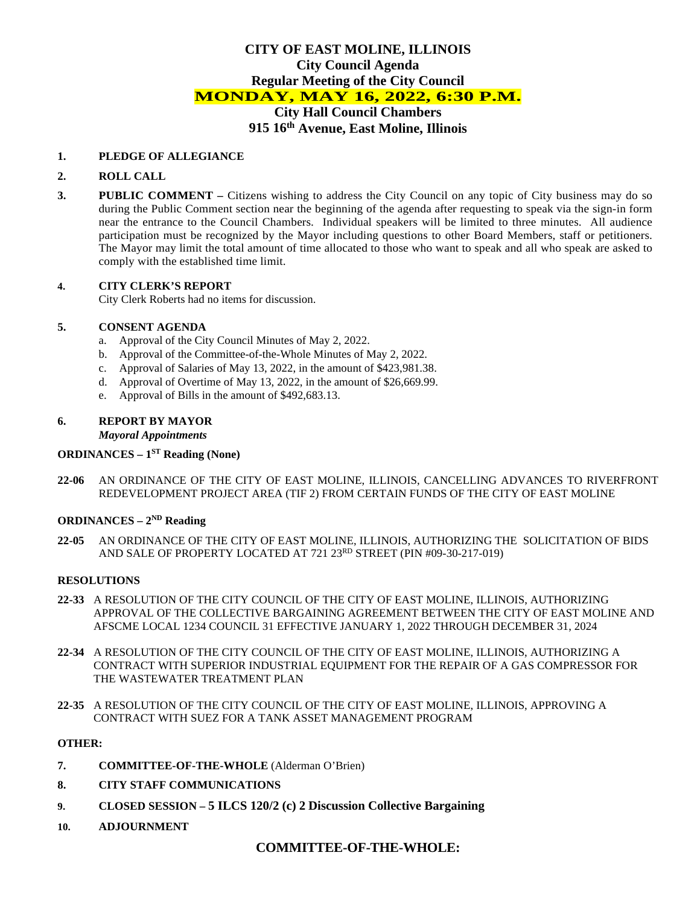# **CITY OF EAST MOLINE, ILLINOIS City Council Agenda Regular Meeting of the City Council MONDAY, MAY 16, 2022, 6:30 P.M. City Hall Council Chambers 915 16th Avenue, East Moline, Illinois**

### **1. PLEDGE OF ALLEGIANCE**

### **2. ROLL CALL**

**3. PUBLIC COMMENT –** Citizens wishing to address the City Council on any topic of City business may do so during the Public Comment section near the beginning of the agenda after requesting to speak via the sign-in form near the entrance to the Council Chambers. Individual speakers will be limited to three minutes. All audience participation must be recognized by the Mayor including questions to other Board Members, staff or petitioners. The Mayor may limit the total amount of time allocated to those who want to speak and all who speak are asked to comply with the established time limit.

#### **4. CITY CLERK'S REPORT**

City Clerk Roberts had no items for discussion.

### **5. CONSENT AGENDA**

- a. Approval of the City Council Minutes of May 2, 2022.
- b. Approval of the Committee-of-the-Whole Minutes of May 2, 2022.
- c. Approval of Salaries of May 13, 2022, in the amount of \$423,981.38.
- d. Approval of Overtime of May 13, 2022, in the amount of \$26,669.99.
- e. Approval of Bills in the amount of \$492,683.13.

### **6. REPORT BY MAYOR**

*Mayoral Appointments*

### **ORDINANCES – 1ST Reading (None)**

**22-06** AN ORDINANCE OF THE CITY OF EAST MOLINE, ILLINOIS, CANCELLING ADVANCES TO RIVERFRONT REDEVELOPMENT PROJECT AREA (TIF 2) FROM CERTAIN FUNDS OF THE CITY OF EAST MOLINE

# **ORDINANCES – 2ND Reading**

**22-05** AN ORDINANCE OF THE CITY OF EAST MOLINE, ILLINOIS, AUTHORIZING THE SOLICITATION OF BIDS AND SALE OF PROPERTY LOCATED AT 721 23RD STREET (PIN #09-30-217-019)

#### **RESOLUTIONS**

- **22-33** A RESOLUTION OF THE CITY COUNCIL OF THE CITY OF EAST MOLINE, ILLINOIS, AUTHORIZING APPROVAL OF THE COLLECTIVE BARGAINING AGREEMENT BETWEEN THE CITY OF EAST MOLINE AND AFSCME LOCAL 1234 COUNCIL 31 EFFECTIVE JANUARY 1, 2022 THROUGH DECEMBER 31, 2024
- **22-34** A RESOLUTION OF THE CITY COUNCIL OF THE CITY OF EAST MOLINE, ILLINOIS, AUTHORIZING A CONTRACT WITH SUPERIOR INDUSTRIAL EQUIPMENT FOR THE REPAIR OF A GAS COMPRESSOR FOR THE WASTEWATER TREATMENT PLAN
- **22-35** A RESOLUTION OF THE CITY COUNCIL OF THE CITY OF EAST MOLINE, ILLINOIS, APPROVING A CONTRACT WITH SUEZ FOR A TANK ASSET MANAGEMENT PROGRAM

### **OTHER:**

- **7. COMMITTEE-OF-THE-WHOLE** (Alderman O'Brien)
- **8. CITY STAFF COMMUNICATIONS**
- **9. CLOSED SESSION – 5 ILCS 120/2 (c) 2 Discussion Collective Bargaining**
- **10. ADJOURNMENT**

# **COMMITTEE-OF-THE-WHOLE:**